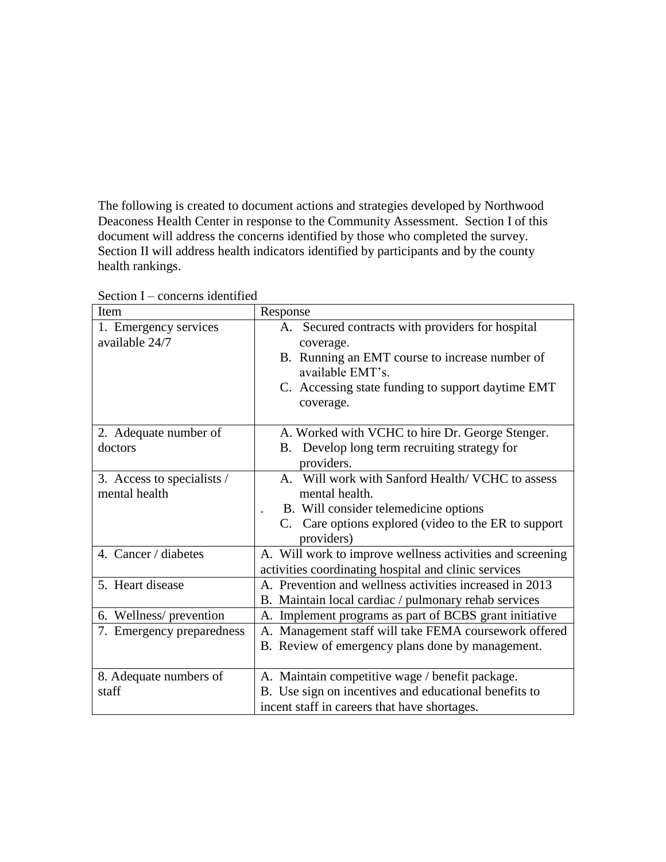The following is created to document actions and strategies developed by Northwood Deaconess Health Center in response to the Community Assessment. Section I of this document will address the concerns identified by those who completed the survey. Section II will address health indicators identified by participants and by the county health rankings.

| Item                       | Response                                                           |
|----------------------------|--------------------------------------------------------------------|
| 1. Emergency services      | A. Secured contracts with providers for hospital                   |
| available 24/7             | coverage.                                                          |
|                            | B. Running an EMT course to increase number of<br>available EMT's. |
|                            | C. Accessing state funding to support daytime EMT                  |
|                            | coverage.                                                          |
| 2. Adequate number of      | A. Worked with VCHC to hire Dr. George Stenger.                    |
| doctors                    | Develop long term recruiting strategy for<br><b>B.</b>             |
|                            | providers.                                                         |
| 3. Access to specialists / | A. Will work with Sanford Health/VCHC to assess                    |
| mental health              | mental health.                                                     |
|                            | B. Will consider telemedicine options                              |
|                            | C. Care options explored (video to the ER to support               |
|                            | providers)                                                         |
| 4. Cancer / diabetes       | A. Will work to improve wellness activities and screening          |
|                            | activities coordinating hospital and clinic services               |
| 5. Heart disease           | A. Prevention and wellness activities increased in 2013            |
|                            | B. Maintain local cardiac / pulmonary rehab services               |
| 6. Wellness/prevention     | A. Implement programs as part of BCBS grant initiative             |
| 7. Emergency preparedness  | A. Management staff will take FEMA coursework offered              |
|                            | B. Review of emergency plans done by management.                   |
|                            |                                                                    |
| 8. Adequate numbers of     | A. Maintain competitive wage / benefit package.                    |
| staff                      | B. Use sign on incentives and educational benefits to              |
|                            | incent staff in careers that have shortages.                       |

Section I – concerns identified